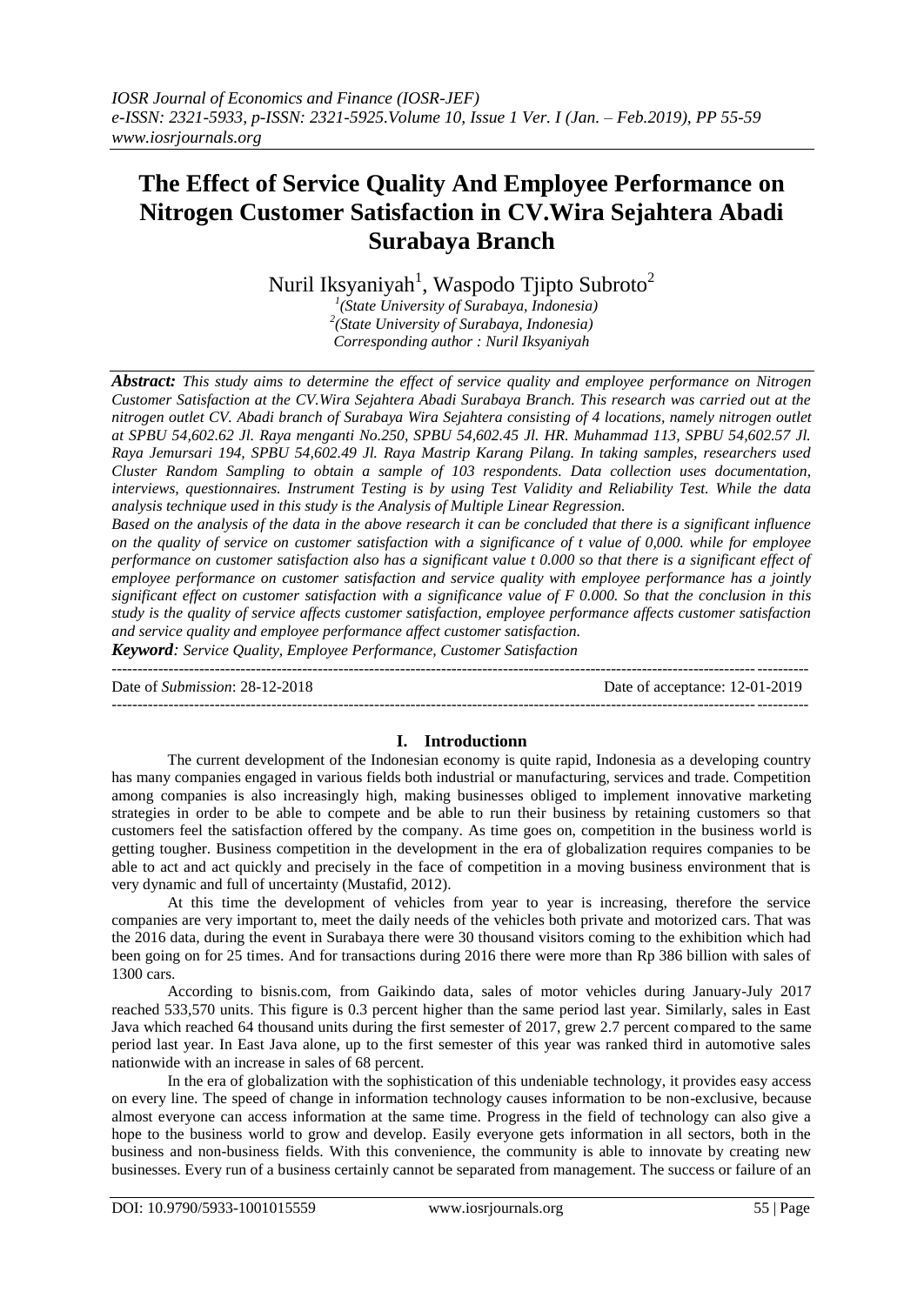# **The Effect of Service Quality And Employee Performance on Nitrogen Customer Satisfaction in CV.Wira Sejahtera Abadi Surabaya Branch**

Nuril Iksyaniyah<sup>1</sup>, Waspodo Tjipto Subroto<sup>2</sup>

*1 (State University of Surabaya, Indonesia) 2 (State University of Surabaya, Indonesia) Corresponding author : Nuril Iksyaniyah*

*Abstract: This study aims to determine the effect of service quality and employee performance on Nitrogen Customer Satisfaction at the CV.Wira Sejahtera Abadi Surabaya Branch. This research was carried out at the nitrogen outlet CV. Abadi branch of Surabaya Wira Sejahtera consisting of 4 locations, namely nitrogen outlet at SPBU 54,602.62 Jl. Raya menganti No.250, SPBU 54,602.45 Jl. HR. Muhammad 113, SPBU 54,602.57 Jl. Raya Jemursari 194, SPBU 54,602.49 Jl. Raya Mastrip Karang Pilang. In taking samples, researchers used Cluster Random Sampling to obtain a sample of 103 respondents. Data collection uses documentation, interviews, questionnaires. Instrument Testing is by using Test Validity and Reliability Test. While the data analysis technique used in this study is the Analysis of Multiple Linear Regression.*

*Based on the analysis of the data in the above research it can be concluded that there is a significant influence on the quality of service on customer satisfaction with a significance of t value of 0,000. while for employee performance on customer satisfaction also has a significant value t 0.000 so that there is a significant effect of employee performance on customer satisfaction and service quality with employee performance has a jointly significant effect on customer satisfaction with a significance value of F 0.000. So that the conclusion in this study is the quality of service affects customer satisfaction, employee performance affects customer satisfaction and service quality and employee performance affect customer satisfaction.*

*Keyword: Service Quality, Employee Performance, Customer Satisfaction*

*---------------------------------------------------------------------------------------------------------------------------------------* Date of *Submission*: 28-12-2018 Date of acceptance: 12-01-2019 *---------------------------------------------------------------------------------------------------------------------------------------*

## **I. Introductionn**

The current development of the Indonesian economy is quite rapid, Indonesia as a developing country has many companies engaged in various fields both industrial or manufacturing, services and trade. Competition among companies is also increasingly high, making businesses obliged to implement innovative marketing strategies in order to be able to compete and be able to run their business by retaining customers so that customers feel the satisfaction offered by the company. As time goes on, competition in the business world is getting tougher. Business competition in the development in the era of globalization requires companies to be able to act and act quickly and precisely in the face of competition in a moving business environment that is very dynamic and full of uncertainty (Mustafid, 2012).

At this time the development of vehicles from year to year is increasing, therefore the service companies are very important to, meet the daily needs of the vehicles both private and motorized cars. That was the 2016 data, during the event in Surabaya there were 30 thousand visitors coming to the exhibition which had been going on for 25 times. And for transactions during 2016 there were more than Rp 386 billion with sales of 1300 cars.

According to bisnis.com, from Gaikindo data, sales of motor vehicles during January-July 2017 reached 533,570 units. This figure is 0.3 percent higher than the same period last year. Similarly, sales in East Java which reached 64 thousand units during the first semester of 2017, grew 2.7 percent compared to the same period last year. In East Java alone, up to the first semester of this year was ranked third in automotive sales nationwide with an increase in sales of 68 percent.

In the era of globalization with the sophistication of this undeniable technology, it provides easy access on every line. The speed of change in information technology causes information to be non-exclusive, because almost everyone can access information at the same time. Progress in the field of technology can also give a hope to the business world to grow and develop. Easily everyone gets information in all sectors, both in the business and non-business fields. With this convenience, the community is able to innovate by creating new businesses. Every run of a business certainly cannot be separated from management. The success or failure of an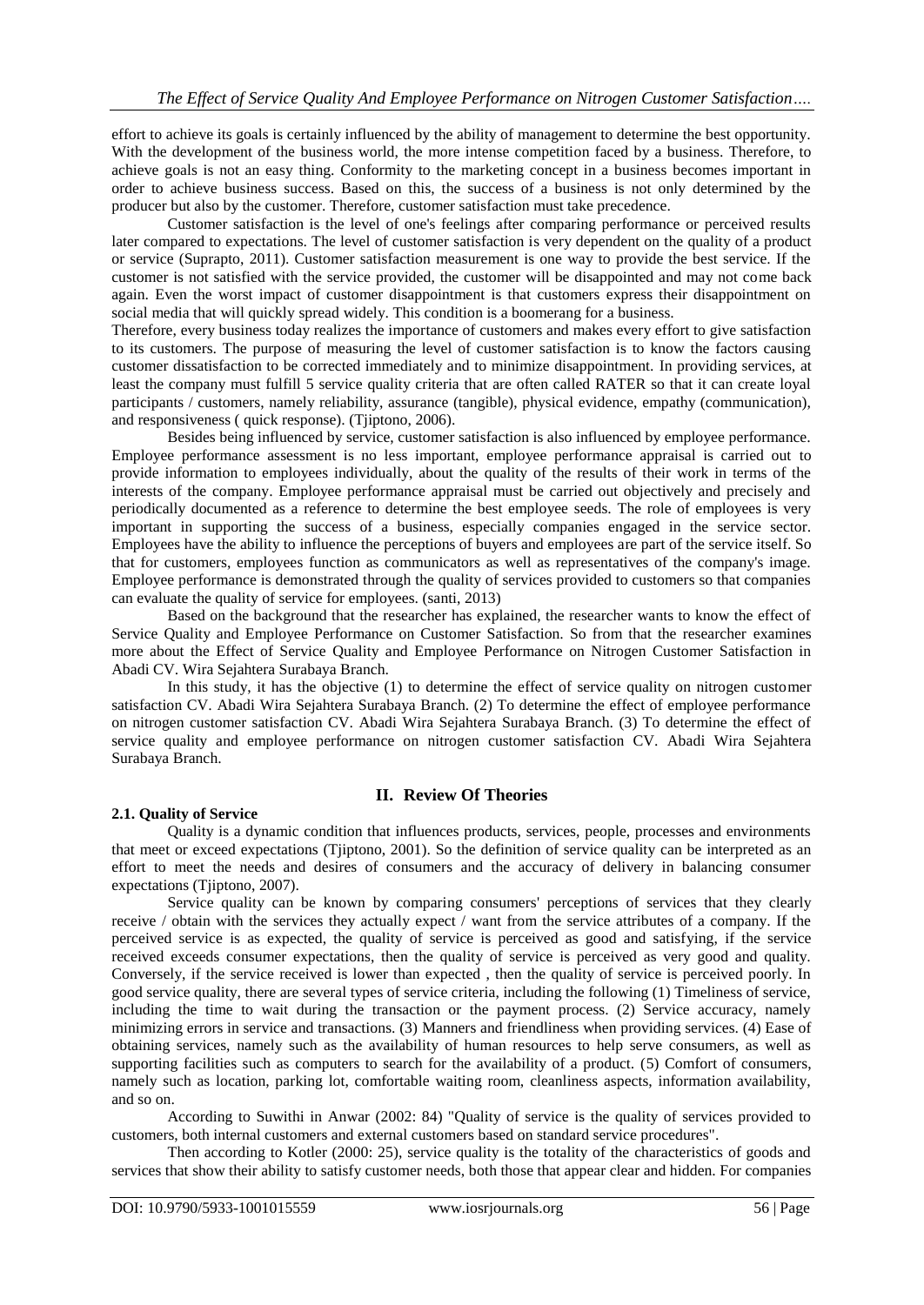effort to achieve its goals is certainly influenced by the ability of management to determine the best opportunity. With the development of the business world, the more intense competition faced by a business. Therefore, to achieve goals is not an easy thing. Conformity to the marketing concept in a business becomes important in order to achieve business success. Based on this, the success of a business is not only determined by the producer but also by the customer. Therefore, customer satisfaction must take precedence.

Customer satisfaction is the level of one's feelings after comparing performance or perceived results later compared to expectations. The level of customer satisfaction is very dependent on the quality of a product or service (Suprapto, 2011). Customer satisfaction measurement is one way to provide the best service. If the customer is not satisfied with the service provided, the customer will be disappointed and may not come back again. Even the worst impact of customer disappointment is that customers express their disappointment on social media that will quickly spread widely. This condition is a boomerang for a business.

Therefore, every business today realizes the importance of customers and makes every effort to give satisfaction to its customers. The purpose of measuring the level of customer satisfaction is to know the factors causing customer dissatisfaction to be corrected immediately and to minimize disappointment. In providing services, at least the company must fulfill 5 service quality criteria that are often called RATER so that it can create loyal participants / customers, namely reliability, assurance (tangible), physical evidence, empathy (communication), and responsiveness ( quick response). (Tjiptono, 2006).

Besides being influenced by service, customer satisfaction is also influenced by employee performance. Employee performance assessment is no less important, employee performance appraisal is carried out to provide information to employees individually, about the quality of the results of their work in terms of the interests of the company. Employee performance appraisal must be carried out objectively and precisely and periodically documented as a reference to determine the best employee seeds. The role of employees is very important in supporting the success of a business, especially companies engaged in the service sector. Employees have the ability to influence the perceptions of buyers and employees are part of the service itself. So that for customers, employees function as communicators as well as representatives of the company's image. Employee performance is demonstrated through the quality of services provided to customers so that companies can evaluate the quality of service for employees. (santi, 2013)

Based on the background that the researcher has explained, the researcher wants to know the effect of Service Quality and Employee Performance on Customer Satisfaction. So from that the researcher examines more about the Effect of Service Quality and Employee Performance on Nitrogen Customer Satisfaction in Abadi CV. Wira Sejahtera Surabaya Branch.

In this study, it has the objective (1) to determine the effect of service quality on nitrogen customer satisfaction CV. Abadi Wira Sejahtera Surabaya Branch. (2) To determine the effect of employee performance on nitrogen customer satisfaction CV. Abadi Wira Sejahtera Surabaya Branch. (3) To determine the effect of service quality and employee performance on nitrogen customer satisfaction CV. Abadi Wira Sejahtera Surabaya Branch.

## **II. Review Of Theories**

## **2.1. Quality of Service**

Quality is a dynamic condition that influences products, services, people, processes and environments that meet or exceed expectations (Tjiptono, 2001). So the definition of service quality can be interpreted as an effort to meet the needs and desires of consumers and the accuracy of delivery in balancing consumer expectations (Tjiptono, 2007).

Service quality can be known by comparing consumers' perceptions of services that they clearly receive / obtain with the services they actually expect / want from the service attributes of a company. If the perceived service is as expected, the quality of service is perceived as good and satisfying, if the service received exceeds consumer expectations, then the quality of service is perceived as very good and quality. Conversely, if the service received is lower than expected , then the quality of service is perceived poorly. In good service quality, there are several types of service criteria, including the following (1) Timeliness of service, including the time to wait during the transaction or the payment process. (2) Service accuracy, namely minimizing errors in service and transactions. (3) Manners and friendliness when providing services. (4) Ease of obtaining services, namely such as the availability of human resources to help serve consumers, as well as supporting facilities such as computers to search for the availability of a product. (5) Comfort of consumers, namely such as location, parking lot, comfortable waiting room, cleanliness aspects, information availability, and so on.

According to Suwithi in Anwar (2002: 84) "Quality of service is the quality of services provided to customers, both internal customers and external customers based on standard service procedures".

Then according to Kotler (2000: 25), service quality is the totality of the characteristics of goods and services that show their ability to satisfy customer needs, both those that appear clear and hidden. For companies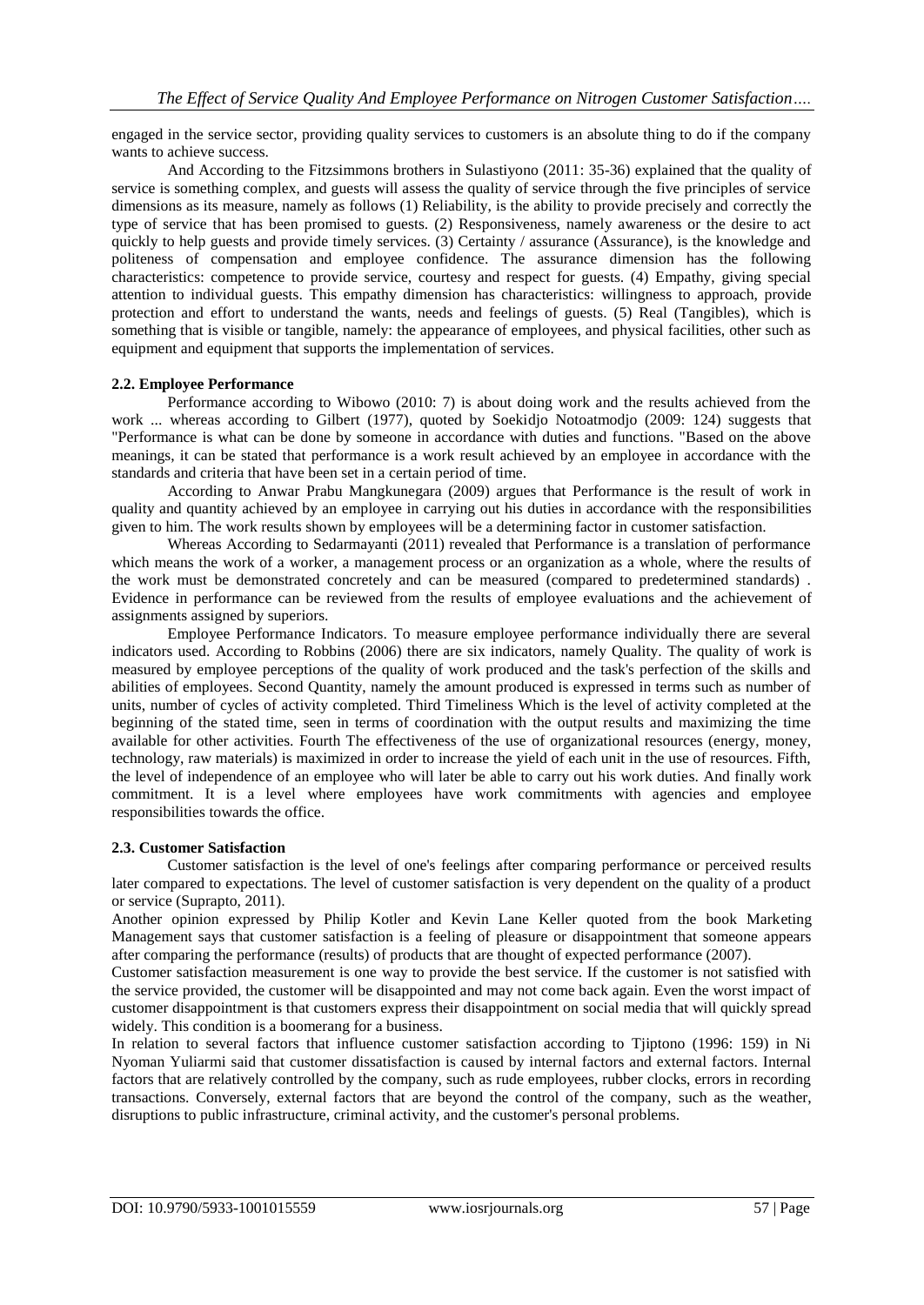engaged in the service sector, providing quality services to customers is an absolute thing to do if the company wants to achieve success.

And According to the Fitzsimmons brothers in Sulastiyono (2011: 35-36) explained that the quality of service is something complex, and guests will assess the quality of service through the five principles of service dimensions as its measure, namely as follows (1) Reliability, is the ability to provide precisely and correctly the type of service that has been promised to guests. (2) Responsiveness, namely awareness or the desire to act quickly to help guests and provide timely services. (3) Certainty / assurance (Assurance), is the knowledge and politeness of compensation and employee confidence. The assurance dimension has the following characteristics: competence to provide service, courtesy and respect for guests. (4) Empathy, giving special attention to individual guests. This empathy dimension has characteristics: willingness to approach, provide protection and effort to understand the wants, needs and feelings of guests. (5) Real (Tangibles), which is something that is visible or tangible, namely: the appearance of employees, and physical facilities, other such as equipment and equipment that supports the implementation of services.

## **2.2. Employee Performance**

Performance according to Wibowo (2010: 7) is about doing work and the results achieved from the work ... whereas according to Gilbert (1977), quoted by Soekidjo Notoatmodjo (2009: 124) suggests that "Performance is what can be done by someone in accordance with duties and functions. "Based on the above meanings, it can be stated that performance is a work result achieved by an employee in accordance with the standards and criteria that have been set in a certain period of time.

According to Anwar Prabu Mangkunegara (2009) argues that Performance is the result of work in quality and quantity achieved by an employee in carrying out his duties in accordance with the responsibilities given to him. The work results shown by employees will be a determining factor in customer satisfaction.

Whereas According to Sedarmayanti (2011) revealed that Performance is a translation of performance which means the work of a worker, a management process or an organization as a whole, where the results of the work must be demonstrated concretely and can be measured (compared to predetermined standards) . Evidence in performance can be reviewed from the results of employee evaluations and the achievement of assignments assigned by superiors.

Employee Performance Indicators. To measure employee performance individually there are several indicators used. According to Robbins (2006) there are six indicators, namely Quality. The quality of work is measured by employee perceptions of the quality of work produced and the task's perfection of the skills and abilities of employees. Second Quantity, namely the amount produced is expressed in terms such as number of units, number of cycles of activity completed. Third Timeliness Which is the level of activity completed at the beginning of the stated time, seen in terms of coordination with the output results and maximizing the time available for other activities. Fourth The effectiveness of the use of organizational resources (energy, money, technology, raw materials) is maximized in order to increase the yield of each unit in the use of resources. Fifth, the level of independence of an employee who will later be able to carry out his work duties. And finally work commitment. It is a level where employees have work commitments with agencies and employee responsibilities towards the office.

## **2.3. Customer Satisfaction**

Customer satisfaction is the level of one's feelings after comparing performance or perceived results later compared to expectations. The level of customer satisfaction is very dependent on the quality of a product or service (Suprapto, 2011).

Another opinion expressed by Philip Kotler and Kevin Lane Keller quoted from the book Marketing Management says that customer satisfaction is a feeling of pleasure or disappointment that someone appears after comparing the performance (results) of products that are thought of expected performance (2007).

Customer satisfaction measurement is one way to provide the best service. If the customer is not satisfied with the service provided, the customer will be disappointed and may not come back again. Even the worst impact of customer disappointment is that customers express their disappointment on social media that will quickly spread widely. This condition is a boomerang for a business.

In relation to several factors that influence customer satisfaction according to Tjiptono (1996: 159) in Ni Nyoman Yuliarmi said that customer dissatisfaction is caused by internal factors and external factors. Internal factors that are relatively controlled by the company, such as rude employees, rubber clocks, errors in recording transactions. Conversely, external factors that are beyond the control of the company, such as the weather, disruptions to public infrastructure, criminal activity, and the customer's personal problems.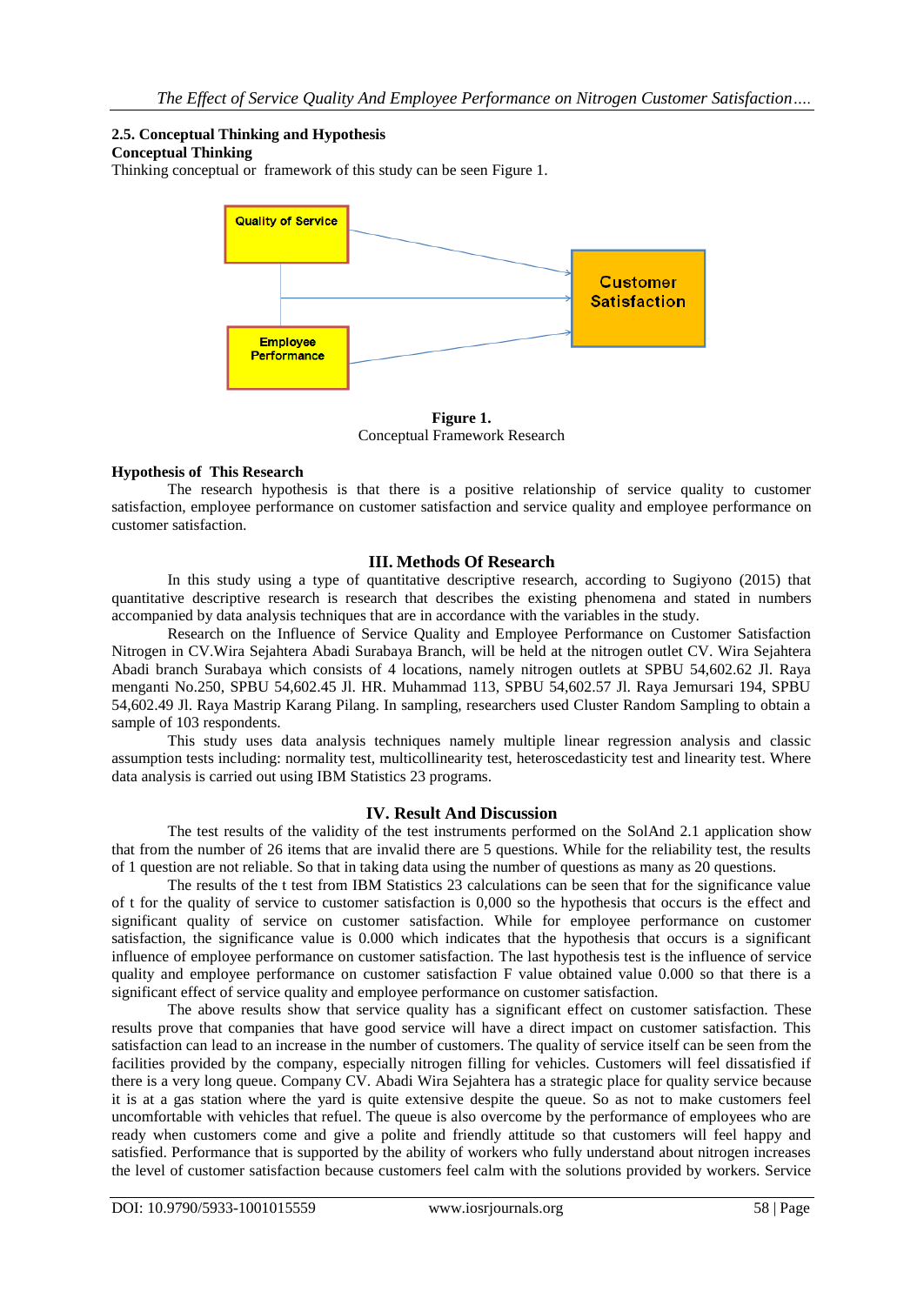# **2.5. Conceptual Thinking and Hypothesis**

## **Conceptual Thinking**

Thinking conceptual or framework of this study can be seen Figure 1.



**Figure 1.** Conceptual Framework Research

## **Hypothesis of This Research**

The research hypothesis is that there is a positive relationship of service quality to customer satisfaction, employee performance on customer satisfaction and service quality and employee performance on customer satisfaction.

## **III. Methods Of Research**

In this study using a type of quantitative descriptive research, according to Sugiyono (2015) that quantitative descriptive research is research that describes the existing phenomena and stated in numbers accompanied by data analysis techniques that are in accordance with the variables in the study.

Research on the Influence of Service Quality and Employee Performance on Customer Satisfaction Nitrogen in CV.Wira Sejahtera Abadi Surabaya Branch, will be held at the nitrogen outlet CV. Wira Sejahtera Abadi branch Surabaya which consists of 4 locations, namely nitrogen outlets at SPBU 54,602.62 Jl. Raya menganti No.250, SPBU 54,602.45 Jl. HR. Muhammad 113, SPBU 54,602.57 Jl. Raya Jemursari 194, SPBU 54,602.49 Jl. Raya Mastrip Karang Pilang. In sampling, researchers used Cluster Random Sampling to obtain a sample of 103 respondents.

This study uses data analysis techniques namely multiple linear regression analysis and classic assumption tests including: normality test, multicollinearity test, heteroscedasticity test and linearity test. Where data analysis is carried out using IBM Statistics 23 programs.

## **IV. Result And Discussion**

The test results of the validity of the test instruments performed on the SolAnd 2.1 application show that from the number of 26 items that are invalid there are 5 questions. While for the reliability test, the results of 1 question are not reliable. So that in taking data using the number of questions as many as 20 questions.

The results of the t test from IBM Statistics 23 calculations can be seen that for the significance value of t for the quality of service to customer satisfaction is 0,000 so the hypothesis that occurs is the effect and significant quality of service on customer satisfaction. While for employee performance on customer satisfaction, the significance value is 0.000 which indicates that the hypothesis that occurs is a significant influence of employee performance on customer satisfaction. The last hypothesis test is the influence of service quality and employee performance on customer satisfaction F value obtained value 0.000 so that there is a significant effect of service quality and employee performance on customer satisfaction.

The above results show that service quality has a significant effect on customer satisfaction. These results prove that companies that have good service will have a direct impact on customer satisfaction. This satisfaction can lead to an increase in the number of customers. The quality of service itself can be seen from the facilities provided by the company, especially nitrogen filling for vehicles. Customers will feel dissatisfied if there is a very long queue. Company CV. Abadi Wira Sejahtera has a strategic place for quality service because it is at a gas station where the yard is quite extensive despite the queue. So as not to make customers feel uncomfortable with vehicles that refuel. The queue is also overcome by the performance of employees who are ready when customers come and give a polite and friendly attitude so that customers will feel happy and satisfied. Performance that is supported by the ability of workers who fully understand about nitrogen increases the level of customer satisfaction because customers feel calm with the solutions provided by workers. Service